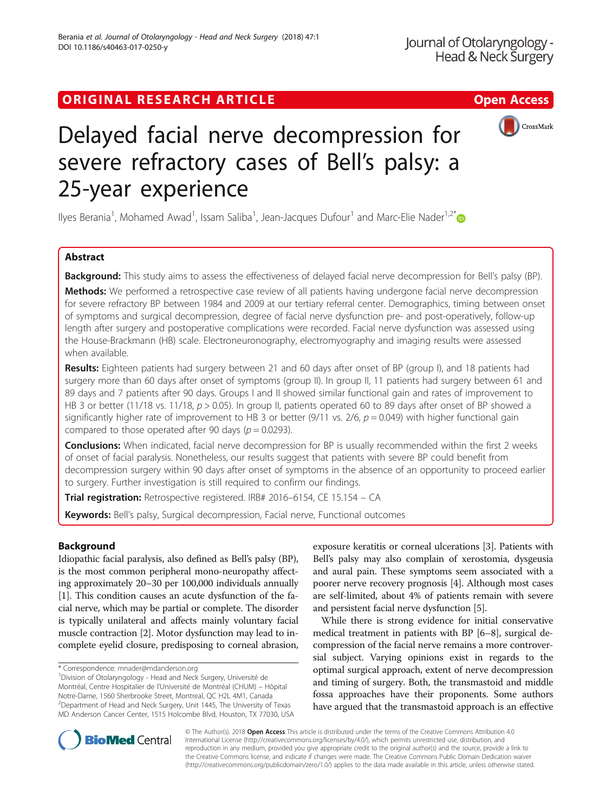# ORIGINAL RESEARCH ARTICLE **External of the Contract Open Access**



# Delayed facial nerve decompression for severe refractory cases of Bell's palsy: a 25-year experience

Ilyes Berania<sup>1</sup>, Mohamed Awad<sup>1</sup>, Issam Saliba<sup>1</sup>, Jean-Jacques Dufour<sup>1</sup> and Marc-Elie Nader<sup>1,2[\\*](http://orcid.org/0000-0001-9295-0174)</sup>

# Abstract

**Background:** This study aims to assess the effectiveness of delayed facial nerve decompression for Bell's palsy (BP).

Methods: We performed a retrospective case review of all patients having undergone facial nerve decompression for severe refractory BP between 1984 and 2009 at our tertiary referral center. Demographics, timing between onset of symptoms and surgical decompression, degree of facial nerve dysfunction pre- and post-operatively, follow-up length after surgery and postoperative complications were recorded. Facial nerve dysfunction was assessed using the House-Brackmann (HB) scale. Electroneuronography, electromyography and imaging results were assessed when available.

Results: Eighteen patients had surgery between 21 and 60 days after onset of BP (group I), and 18 patients had surgery more than 60 days after onset of symptoms (group II). In group II, 11 patients had surgery between 61 and 89 days and 7 patients after 90 days. Groups I and II showed similar functional gain and rates of improvement to HB 3 or better (11/18 vs. 11/18, p > 0.05). In group II, patients operated 60 to 89 days after onset of BP showed a significantly higher rate of improvement to HB 3 or better (9/11 vs. 2/6,  $p = 0.049$ ) with higher functional gain compared to those operated after 90 days ( $p = 0.0293$ ).

**Conclusions:** When indicated, facial nerve decompression for BP is usually recommended within the first 2 weeks of onset of facial paralysis. Nonetheless, our results suggest that patients with severe BP could benefit from decompression surgery within 90 days after onset of symptoms in the absence of an opportunity to proceed earlier to surgery. Further investigation is still required to confirm our findings.

Trial registration: Retrospective registered. IRB# 2016-6154, CE 15.154 - CA

Keywords: Bell's palsy, Surgical decompression, Facial nerve, Functional outcomes

# Background

Idiopathic facial paralysis, also defined as Bell's palsy (BP), is the most common peripheral mono-neuropathy affecting approximately 20–30 per 100,000 individuals annually [[1\]](#page-5-0). This condition causes an acute dysfunction of the facial nerve, which may be partial or complete. The disorder is typically unilateral and affects mainly voluntary facial muscle contraction [\[2](#page-5-0)]. Motor dysfunction may lead to incomplete eyelid closure, predisposing to corneal abrasion,

exposure keratitis or corneal ulcerations [\[3\]](#page-5-0). Patients with Bell's palsy may also complain of xerostomia, dysgeusia and aural pain. These symptoms seem associated with a poorer nerve recovery prognosis [\[4](#page-5-0)]. Although most cases are self-limited, about 4% of patients remain with severe and persistent facial nerve dysfunction [\[5\]](#page-5-0).

While there is strong evidence for initial conservative medical treatment in patients with BP [\[6](#page-5-0)–[8\]](#page-5-0), surgical decompression of the facial nerve remains a more controversial subject. Varying opinions exist in regards to the optimal surgical approach, extent of nerve decompression and timing of surgery. Both, the transmastoid and middle fossa approaches have their proponents. Some authors have argued that the transmastoid approach is an effective



© The Author(s). 2018 Open Access This article is distributed under the terms of the Creative Commons Attribution 4.0 International License [\(http://creativecommons.org/licenses/by/4.0/](http://creativecommons.org/licenses/by/4.0/)), which permits unrestricted use, distribution, and reproduction in any medium, provided you give appropriate credit to the original author(s) and the source, provide a link to the Creative Commons license, and indicate if changes were made. The Creative Commons Public Domain Dedication waiver [\(http://creativecommons.org/publicdomain/zero/1.0/](http://creativecommons.org/publicdomain/zero/1.0/)) applies to the data made available in this article, unless otherwise stated.

<sup>\*</sup> Correspondence: [mnader@mdanderson.org](mailto:mnader@mdanderson.org) <sup>1</sup>

Division of Otolaryngology - Head and Neck Surgery, Université de Montréal, Centre Hospitalier de l'Université de Montréal (CHUM) – Hôpital Notre-Dame, 1560 Sherbrooke Street, Montreal, QC H2L 4M1, Canada <sup>2</sup>Department of Head and Neck Surgery, Unit 1445, The University of Texas MD Anderson Cancer Center, 1515 Holcombe Blvd, Houston, TX 77030, USA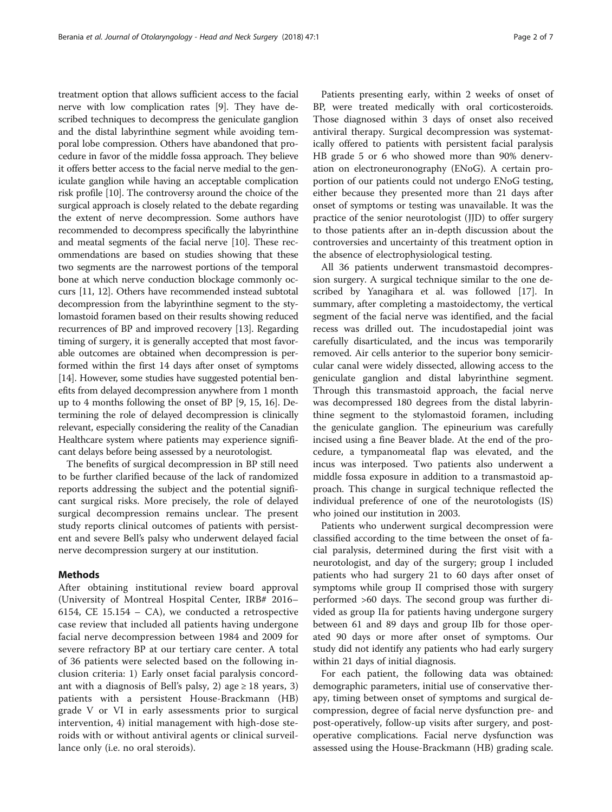treatment option that allows sufficient access to the facial nerve with low complication rates [[9](#page-5-0)]. They have described techniques to decompress the geniculate ganglion and the distal labyrinthine segment while avoiding temporal lobe compression. Others have abandoned that procedure in favor of the middle fossa approach. They believe it offers better access to the facial nerve medial to the geniculate ganglion while having an acceptable complication risk profile [[10](#page-5-0)]. The controversy around the choice of the surgical approach is closely related to the debate regarding the extent of nerve decompression. Some authors have recommended to decompress specifically the labyrinthine and meatal segments of the facial nerve [\[10](#page-5-0)]. These recommendations are based on studies showing that these two segments are the narrowest portions of the temporal bone at which nerve conduction blockage commonly occurs [\[11, 12\]](#page-6-0). Others have recommended instead subtotal decompression from the labyrinthine segment to the stylomastoid foramen based on their results showing reduced recurrences of BP and improved recovery [\[13\]](#page-6-0). Regarding timing of surgery, it is generally accepted that most favorable outcomes are obtained when decompression is performed within the first 14 days after onset of symptoms [[14](#page-6-0)]. However, some studies have suggested potential benefits from delayed decompression anywhere from 1 month up to 4 months following the onset of BP [[9](#page-5-0), [15](#page-6-0), [16](#page-6-0)]. Determining the role of delayed decompression is clinically relevant, especially considering the reality of the Canadian Healthcare system where patients may experience significant delays before being assessed by a neurotologist.

The benefits of surgical decompression in BP still need to be further clarified because of the lack of randomized reports addressing the subject and the potential significant surgical risks. More precisely, the role of delayed surgical decompression remains unclear. The present study reports clinical outcomes of patients with persistent and severe Bell's palsy who underwent delayed facial nerve decompression surgery at our institution.

# Methods

After obtaining institutional review board approval (University of Montreal Hospital Center, IRB# 2016– 6154, CE 15.154 – CA), we conducted a retrospective case review that included all patients having undergone facial nerve decompression between 1984 and 2009 for severe refractory BP at our tertiary care center. A total of 36 patients were selected based on the following inclusion criteria: 1) Early onset facial paralysis concordant with a diagnosis of Bell's palsy, 2) age  $\geq 18$  years, 3) patients with a persistent House-Brackmann (HB) grade V or VI in early assessments prior to surgical intervention, 4) initial management with high-dose steroids with or without antiviral agents or clinical surveillance only (i.e. no oral steroids).

Patients presenting early, within 2 weeks of onset of BP, were treated medically with oral corticosteroids. Those diagnosed within 3 days of onset also received antiviral therapy. Surgical decompression was systematically offered to patients with persistent facial paralysis HB grade 5 or 6 who showed more than 90% denervation on electroneuronography (ENoG). A certain proportion of our patients could not undergo ENoG testing, either because they presented more than 21 days after onset of symptoms or testing was unavailable. It was the practice of the senior neurotologist (JJD) to offer surgery to those patients after an in-depth discussion about the controversies and uncertainty of this treatment option in the absence of electrophysiological testing.

All 36 patients underwent transmastoid decompression surgery. A surgical technique similar to the one described by Yanagihara et al. was followed [[17](#page-6-0)]. In summary, after completing a mastoidectomy, the vertical segment of the facial nerve was identified, and the facial recess was drilled out. The incudostapedial joint was carefully disarticulated, and the incus was temporarily removed. Air cells anterior to the superior bony semicircular canal were widely dissected, allowing access to the geniculate ganglion and distal labyrinthine segment. Through this transmastoid approach, the facial nerve was decompressed 180 degrees from the distal labyrinthine segment to the stylomastoid foramen, including the geniculate ganglion. The epineurium was carefully incised using a fine Beaver blade. At the end of the procedure, a tympanomeatal flap was elevated, and the incus was interposed. Two patients also underwent a middle fossa exposure in addition to a transmastoid approach. This change in surgical technique reflected the individual preference of one of the neurotologists (IS) who joined our institution in 2003.

Patients who underwent surgical decompression were classified according to the time between the onset of facial paralysis, determined during the first visit with a neurotologist, and day of the surgery; group I included patients who had surgery 21 to 60 days after onset of symptoms while group II comprised those with surgery performed >60 days. The second group was further divided as group IIa for patients having undergone surgery between 61 and 89 days and group IIb for those operated 90 days or more after onset of symptoms. Our study did not identify any patients who had early surgery within 21 days of initial diagnosis.

For each patient, the following data was obtained: demographic parameters, initial use of conservative therapy, timing between onset of symptoms and surgical decompression, degree of facial nerve dysfunction pre- and post-operatively, follow-up visits after surgery, and postoperative complications. Facial nerve dysfunction was assessed using the House-Brackmann (HB) grading scale.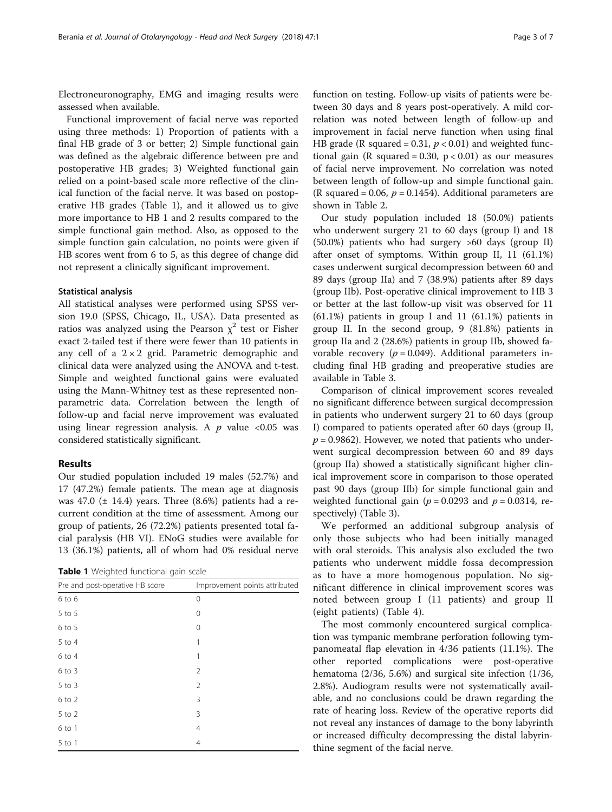Electroneuronography, EMG and imaging results were assessed when available.

Functional improvement of facial nerve was reported using three methods: 1) Proportion of patients with a final HB grade of 3 or better; 2) Simple functional gain was defined as the algebraic difference between pre and postoperative HB grades; 3) Weighted functional gain relied on a point-based scale more reflective of the clinical function of the facial nerve. It was based on postoperative HB grades (Table 1), and it allowed us to give more importance to HB 1 and 2 results compared to the simple functional gain method. Also, as opposed to the simple function gain calculation, no points were given if HB scores went from 6 to 5, as this degree of change did not represent a clinically significant improvement.

## Statistical analysis

All statistical analyses were performed using SPSS version 19.0 (SPSS, Chicago, IL, USA). Data presented as ratios was analyzed using the Pearson  $\chi^2$  test or Fisher exact 2-tailed test if there were fewer than 10 patients in any cell of a  $2 \times 2$  grid. Parametric demographic and clinical data were analyzed using the ANOVA and t-test. Simple and weighted functional gains were evaluated using the Mann-Whitney test as these represented nonparametric data. Correlation between the length of follow-up and facial nerve improvement was evaluated using linear regression analysis. A  $p$  value <0.05 was considered statistically significant.

# Results

Our studied population included 19 males (52.7%) and 17 (47.2%) female patients. The mean age at diagnosis was 47.0 ( $\pm$  14.4) years. Three (8.6%) patients had a recurrent condition at the time of assessment. Among our group of patients, 26 (72.2%) patients presented total facial paralysis (HB VI). ENoG studies were available for 13 (36.1%) patients, all of whom had 0% residual nerve

Table 1 Weighted functional gain scale

| Pre and post-operative HB score | Improvement points attributed |
|---------------------------------|-------------------------------|
| $6$ to $6$                      | $\mathbf 0$                   |
| 5 to 5                          | $\mathbf 0$                   |
| 6 to 5                          | 0                             |
| 5 to 4                          | 1                             |
| $6$ to $4$                      | 1                             |
| $6$ to $3$                      | $\overline{2}$                |
| $5$ to $3$                      | $\overline{2}$                |
| $6$ to $2$                      | 3                             |
| $5$ to $2$                      | 3                             |
| $6$ to 1                        | $\overline{4}$                |
| $5$ to 1                        | $\overline{4}$                |

function on testing. Follow-up visits of patients were between 30 days and 8 years post-operatively. A mild correlation was noted between length of follow-up and improvement in facial nerve function when using final HB grade (R squared =  $0.31$ ,  $p < 0.01$ ) and weighted functional gain (R squared =  $0.30$ ,  $p < 0.01$ ) as our measures of facial nerve improvement. No correlation was noted between length of follow-up and simple functional gain. (R squared = 0.06,  $p = 0.1454$ ). Additional parameters are shown in Table [2.](#page-3-0)

Our study population included 18 (50.0%) patients who underwent surgery 21 to 60 days (group I) and 18 (50.0%) patients who had surgery >60 days (group II) after onset of symptoms. Within group II, 11 (61.1%) cases underwent surgical decompression between 60 and 89 days (group IIa) and 7 (38.9%) patients after 89 days (group IIb). Post-operative clinical improvement to HB 3 or better at the last follow-up visit was observed for 11 (61.1%) patients in group I and 11 (61.1%) patients in group II. In the second group, 9 (81.8%) patients in group IIa and 2 (28.6%) patients in group IIb, showed favorable recovery ( $p = 0.049$ ). Additional parameters including final HB grading and preoperative studies are available in Table [3](#page-3-0).

Comparison of clinical improvement scores revealed no significant difference between surgical decompression in patients who underwent surgery 21 to 60 days (group I) compared to patients operated after 60 days (group II,  $p = 0.9862$ ). However, we noted that patients who underwent surgical decompression between 60 and 89 days (group IIa) showed a statistically significant higher clinical improvement score in comparison to those operated past 90 days (group IIb) for simple functional gain and weighted functional gain ( $p = 0.0293$  and  $p = 0.0314$ , respectively) (Table [3\)](#page-3-0).

We performed an additional subgroup analysis of only those subjects who had been initially managed with oral steroids. This analysis also excluded the two patients who underwent middle fossa decompression as to have a more homogenous population. No significant difference in clinical improvement scores was noted between group I (11 patients) and group II (eight patients) (Table [4](#page-4-0)).

The most commonly encountered surgical complication was tympanic membrane perforation following tympanomeatal flap elevation in 4/36 patients (11.1%). The other reported complications were post-operative hematoma (2/36, 5.6%) and surgical site infection (1/36, 2.8%). Audiogram results were not systematically available, and no conclusions could be drawn regarding the rate of hearing loss. Review of the operative reports did not reveal any instances of damage to the bony labyrinth or increased difficulty decompressing the distal labyrinthine segment of the facial nerve.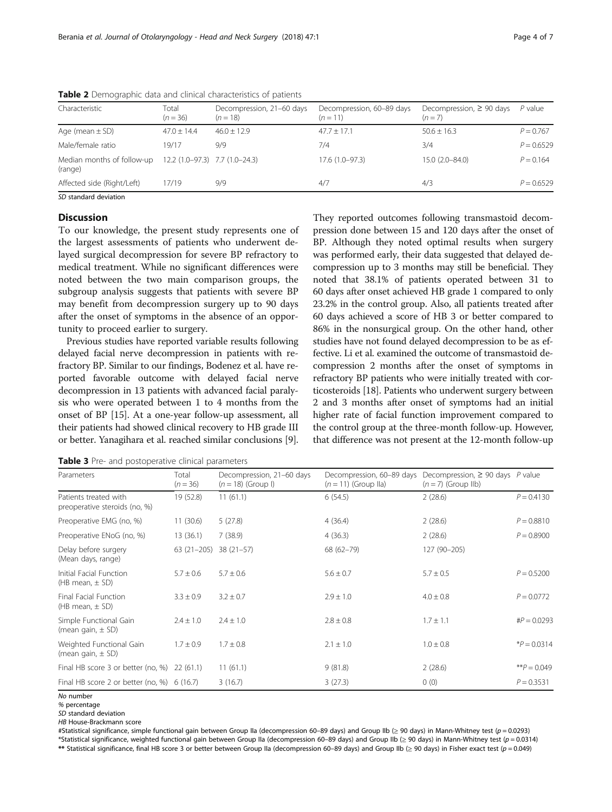| Characteristic                        | Total<br>$(n = 36)$               | Decompression, 21-60 days<br>$(n=18)$ | Decompression, 60-89 days<br>$(n = 11)$ | Decompression, $\geq$ 90 days<br>$(n=7)$ | P value      |
|---------------------------------------|-----------------------------------|---------------------------------------|-----------------------------------------|------------------------------------------|--------------|
| Age (mean $\pm$ SD)                   | $47.0 \pm 14.4$                   | $46.0 + 12.9$                         | $47.7 + 17.1$                           | $50.6 \pm 16.3$                          | $P = 0.767$  |
| Male/female ratio                     | 19/17                             | 9/9                                   | 7/4                                     | 3/4                                      | $P = 0.6529$ |
| Median months of follow-up<br>(range) | $12.2(1.0-97.3)$ 7.7 $(1.0-24.3)$ |                                       | 17.6 (1.0-97.3)                         | $15.0(2.0 - 84.0)$                       | $P = 0.164$  |
| Affected side (Right/Left)            | 17/19                             | 9/9                                   | 4/7                                     | 4/3                                      | $P = 0.6529$ |
| SD standard deviation                 |                                   |                                       |                                         |                                          |              |

<span id="page-3-0"></span>Table 2 Demographic data and clinical characteristics of patients

**Discussion** 

To our knowledge, the present study represents one of the largest assessments of patients who underwent delayed surgical decompression for severe BP refractory to medical treatment. While no significant differences were noted between the two main comparison groups, the subgroup analysis suggests that patients with severe BP may benefit from decompression surgery up to 90 days after the onset of symptoms in the absence of an opportunity to proceed earlier to surgery.

Previous studies have reported variable results following delayed facial nerve decompression in patients with refractory BP. Similar to our findings, Bodenez et al. have reported favorable outcome with delayed facial nerve decompression in 13 patients with advanced facial paralysis who were operated between 1 to 4 months from the onset of BP [\[15\]](#page-6-0). At a one-year follow-up assessment, all their patients had showed clinical recovery to HB grade III or better. Yanagihara et al. reached similar conclusions [[9](#page-5-0)].

They reported outcomes following transmastoid decompression done between 15 and 120 days after the onset of BP. Although they noted optimal results when surgery was performed early, their data suggested that delayed decompression up to 3 months may still be beneficial. They noted that 38.1% of patients operated between 31 to 60 days after onset achieved HB grade 1 compared to only 23.2% in the control group. Also, all patients treated after 60 days achieved a score of HB 3 or better compared to 86% in the nonsurgical group. On the other hand, other studies have not found delayed decompression to be as effective. Li et al. examined the outcome of transmastoid decompression 2 months after the onset of symptoms in refractory BP patients who were initially treated with corticosteroids [\[18\]](#page-6-0). Patients who underwent surgery between 2 and 3 months after onset of symptoms had an initial higher rate of facial function improvement compared to the control group at the three-month follow-up. However, that difference was not present at the 12-month follow-up

Table 3 Pre- and postoperative clinical parameters

| Parameters                                             | Total<br>$(n = 36)$ | Decompression, 21-60 days<br>$(n = 18)$ (Group I) | Decompression, 60-89 days<br>$(n = 11)$ (Group IIa) | Decompression, $\geq$ 90 days P value<br>$(n=7)$ (Group IIb) |                |  |
|--------------------------------------------------------|---------------------|---------------------------------------------------|-----------------------------------------------------|--------------------------------------------------------------|----------------|--|
| Patients treated with<br>preoperative steroids (no, %) | 19 (52.8)           | 11(61.1)                                          | 6(54.5)                                             | 2(28.6)                                                      | $P = 0.4130$   |  |
| Preoperative EMG (no, %)                               | 11(30.6)            | 5(27.8)                                           | 4(36.4)                                             | 2(28.6)                                                      | $P = 0.8810$   |  |
| Preoperative ENoG (no, %)                              | 13(36.1)            | 7(38.9)                                           | 4(36.3)                                             | 2(28.6)                                                      | $P = 0.8900$   |  |
| Delay before surgery<br>(Mean days, range)             | $63(21-205)$        | $38(21-57)$                                       | 68 (62-79)                                          | 127 (90-205)                                                 |                |  |
| Initial Facial Function<br>(HB mean, $\pm$ SD)         | $5.7 \pm 0.6$       | $5.7 \pm 0.6$                                     | $5.6 \pm 0.7$                                       | $5.7 \pm 0.5$                                                | $P = 0.5200$   |  |
| Final Facial Function<br>(HB mean, $\pm$ SD)           | $3.3 \pm 0.9$       | $3.2 \pm 0.7$                                     | $2.9 \pm 1.0$                                       | $4.0 \pm 0.8$                                                | $P = 0.0772$   |  |
| Simple Functional Gain<br>(mean gain, $\pm$ SD)        | $2.4 \pm 1.0$       | $2.4 \pm 1.0$                                     | $2.8 \pm 0.8$                                       | $1.7 \pm 1.1$                                                | $\#P = 0.0293$ |  |
| Weighted Functional Gain<br>(mean gain, $\pm$ SD)      | $1.7 \pm 0.9$       | $1.7 \pm 0.8$                                     | $2.1 \pm 1.0$                                       | $1.0 \pm 0.8$                                                | $P = 0.0314$   |  |
| Final HB score 3 or better (no, $\%$ ) 22 (61.1)       |                     | 11(61.1)                                          | 9(81.8)                                             | 2(28.6)                                                      | ** $P = 0.049$ |  |
| Final HB score 2 or better (no, $\%$ ) 6 (16.7)        |                     | 3(16.7)                                           | 3(27.3)                                             | 0(0)                                                         | $P = 0.3531$   |  |
|                                                        |                     |                                                   |                                                     |                                                              |                |  |

No number

% percentage

SD standard deviation

HB House-Brackmann score

#Statistical significance, simple functional gain between Group IIa (decompression 60–89 days) and Group IIb (≥ 90 days) in Mann-Whitney test (p = 0.0293) \*Statistical significance, weighted functional gain between Group IIa (decompression 60–89 days) and Group IIb (≥ 90 days) in Mann-Whitney test (p = 0.0314)

\*\* Statistical significance, final HB score 3 or better between Group IIa (decompression 60–89 days) and Group IIb (≥ 90 days) in Fisher exact test (p = 0.049)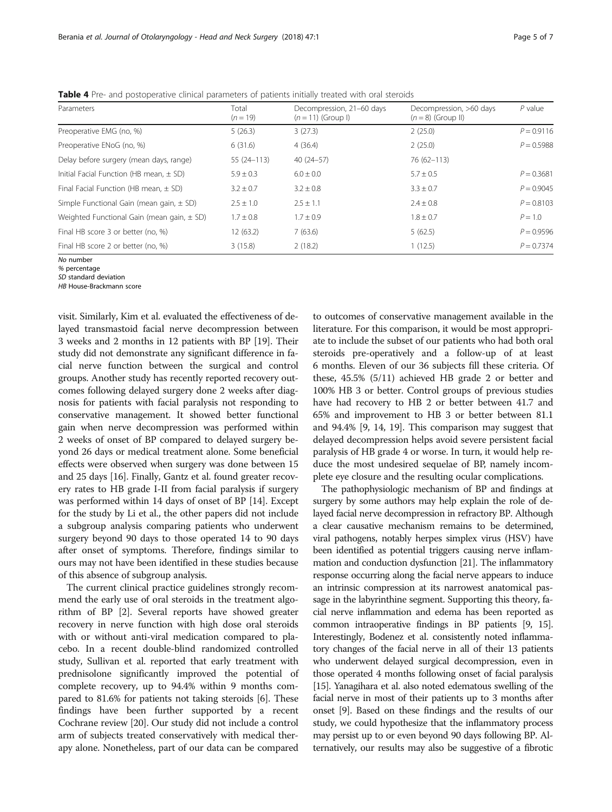| Parameters                                     | Total<br>$(n = 19)$ | Decompression, 21-60 days<br>$(n = 11)$ (Group I) | Decompression, >60 days<br>$(n = 8)$ (Group II) | $P$ value    |
|------------------------------------------------|---------------------|---------------------------------------------------|-------------------------------------------------|--------------|
| Preoperative EMG (no, %)                       | 5(26.3)             | 3(27.3)                                           | 2(25.0)                                         | $P = 0.9116$ |
| Preoperative ENoG (no, %)                      | 6(31.6)             | 4(36.4)                                           | 2(25.0)                                         | $P = 0.5988$ |
| Delay before surgery (mean days, range)        | $55(24-113)$        | $40(24-57)$                                       | $76(62 - 113)$                                  |              |
| Initial Facial Function (HB mean, $\pm$ SD)    | $5.9 \pm 0.3$       | $6.0 + 0.0$                                       | $5.7 + 0.5$                                     | $P = 0.3681$ |
| Final Facial Function (HB mean, $\pm$ SD)      | $3.2 \pm 0.7$       | $3.2 + 0.8$                                       | $3.3 + 0.7$                                     | $P = 0.9045$ |
| Simple Functional Gain (mean gain, $\pm$ SD)   | $2.5 \pm 1.0$       | $2.5 + 1.1$                                       | $7.4 + 0.8$                                     | $P = 0.8103$ |
| Weighted Functional Gain (mean gain, $\pm$ SD) | $1.7 + 0.8$         | $1.7 + 0.9$                                       | $1.8 + 0.7$                                     | $P = 1.0$    |
| Final HB score 3 or better (no, %)             | 12(63.2)            | 7(63.6)                                           | 5(62.5)                                         | $P = 0.9596$ |
| Final HB score 2 or better (no, %)             | 3(15.8)             | 2(18.2)                                           | 1(12.5)                                         | $P = 0.7374$ |

<span id="page-4-0"></span>Table 4 Pre- and postoperative clinical parameters of patients initially treated with oral steroids

No number

% percentage

SD standard deviation HB House-Brackmann score

visit. Similarly, Kim et al. evaluated the effectiveness of delayed transmastoid facial nerve decompression between 3 weeks and 2 months in 12 patients with BP [\[19](#page-6-0)]. Their study did not demonstrate any significant difference in facial nerve function between the surgical and control groups. Another study has recently reported recovery outcomes following delayed surgery done 2 weeks after diagnosis for patients with facial paralysis not responding to conservative management. It showed better functional gain when nerve decompression was performed within 2 weeks of onset of BP compared to delayed surgery beyond 26 days or medical treatment alone. Some beneficial effects were observed when surgery was done between 15 and 25 days [\[16\]](#page-6-0). Finally, Gantz et al. found greater recovery rates to HB grade I-II from facial paralysis if surgery was performed within 14 days of onset of BP [[14](#page-6-0)]. Except for the study by Li et al., the other papers did not include a subgroup analysis comparing patients who underwent surgery beyond 90 days to those operated 14 to 90 days after onset of symptoms. Therefore, findings similar to ours may not have been identified in these studies because of this absence of subgroup analysis.

The current clinical practice guidelines strongly recommend the early use of oral steroids in the treatment algorithm of BP [[2](#page-5-0)]. Several reports have showed greater recovery in nerve function with high dose oral steroids with or without anti-viral medication compared to placebo. In a recent double-blind randomized controlled study, Sullivan et al. reported that early treatment with prednisolone significantly improved the potential of complete recovery, up to 94.4% within 9 months compared to 81.6% for patients not taking steroids [\[6](#page-5-0)]. These findings have been further supported by a recent Cochrane review [[20\]](#page-6-0). Our study did not include a control arm of subjects treated conservatively with medical therapy alone. Nonetheless, part of our data can be compared to outcomes of conservative management available in the literature. For this comparison, it would be most appropriate to include the subset of our patients who had both oral steroids pre-operatively and a follow-up of at least 6 months. Eleven of our 36 subjects fill these criteria. Of these, 45.5% (5/11) achieved HB grade 2 or better and 100% HB 3 or better. Control groups of previous studies have had recovery to HB 2 or better between 41.7 and 65% and improvement to HB 3 or better between 81.1 and 94.4% [\[9,](#page-5-0) [14](#page-6-0), [19\]](#page-6-0). This comparison may suggest that delayed decompression helps avoid severe persistent facial paralysis of HB grade 4 or worse. In turn, it would help reduce the most undesired sequelae of BP, namely incomplete eye closure and the resulting ocular complications.

The pathophysiologic mechanism of BP and findings at surgery by some authors may help explain the role of delayed facial nerve decompression in refractory BP. Although a clear causative mechanism remains to be determined, viral pathogens, notably herpes simplex virus (HSV) have been identified as potential triggers causing nerve inflammation and conduction dysfunction [\[21\]](#page-6-0). The inflammatory response occurring along the facial nerve appears to induce an intrinsic compression at its narrowest anatomical passage in the labyrinthine segment. Supporting this theory, facial nerve inflammation and edema has been reported as common intraoperative findings in BP patients [[9](#page-5-0), [15](#page-6-0)]. Interestingly, Bodenez et al. consistently noted inflammatory changes of the facial nerve in all of their 13 patients who underwent delayed surgical decompression, even in those operated 4 months following onset of facial paralysis [[15](#page-6-0)]. Yanagihara et al. also noted edematous swelling of the facial nerve in most of their patients up to 3 months after onset [\[9\]](#page-5-0). Based on these findings and the results of our study, we could hypothesize that the inflammatory process may persist up to or even beyond 90 days following BP. Alternatively, our results may also be suggestive of a fibrotic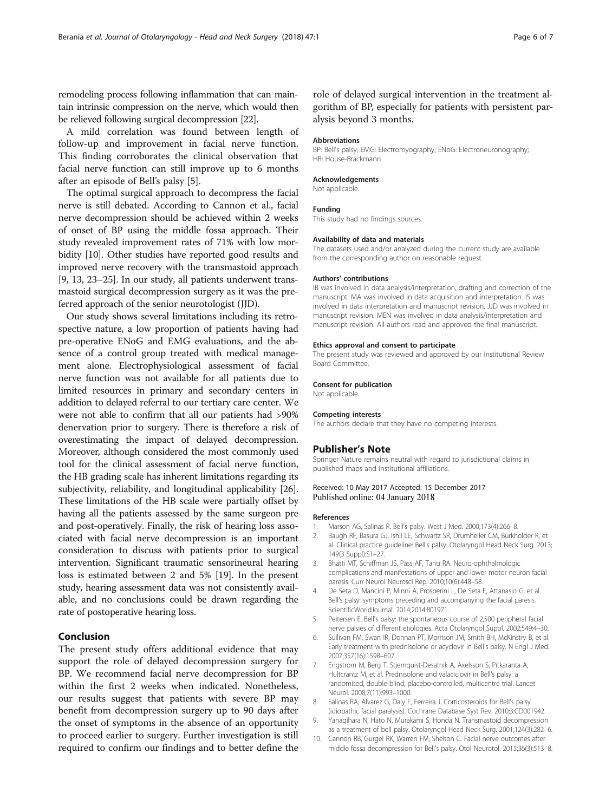<span id="page-5-0"></span>remodeling process following inflammation that can maintain intrinsic compression on the nerve, which would then be relieved following surgical decompression [\[22\]](#page-6-0).

A mild correlation was found between length of follow-up and improvement in facial nerve function. This finding corroborates the clinical observation that facial nerve function can still improve up to 6 months after an episode of Bell's palsy [5].

The optimal surgical approach to decompress the facial nerve is still debated. According to Cannon et al., facial nerve decompression should be achieved within 2 weeks of onset of BP using the middle fossa approach. Their study revealed improvement rates of 71% with low morbidity [10]. Other studies have reported good results and improved nerve recovery with the transmastoid approach [9, [13](#page-6-0), [23](#page-6-0)–[25\]](#page-6-0). In our study, all patients underwent transmastoid surgical decompression surgery as it was the preferred approach of the senior neurotologist (JJD).

Our study shows several limitations including its retrospective nature, a low proportion of patients having had pre-operative ENoG and EMG evaluations, and the absence of a control group treated with medical management alone. Electrophysiological assessment of facial nerve function was not available for all patients due to limited resources in primary and secondary centers in addition to delayed referral to our tertiary care center. We were not able to confirm that all our patients had >90% denervation prior to surgery. There is therefore a risk of overestimating the impact of delayed decompression. Moreover, although considered the most commonly used tool for the clinical assessment of facial nerve function, the HB grading scale has inherent limitations regarding its subjectivity, reliability, and longitudinal applicability [[26](#page-6-0)]. These limitations of the HB scale were partially offset by having all the patients assessed by the same surgeon pre and post-operatively. Finally, the risk of hearing loss associated with facial nerve decompression is an important consideration to discuss with patients prior to surgical intervention. Significant traumatic sensorineural hearing loss is estimated between 2 and 5% [[19](#page-6-0)]. In the present study, hearing assessment data was not consistently available, and no conclusions could be drawn regarding the rate of postoperative hearing loss.

# Conclusion

The present study offers additional evidence that may support the role of delayed decompression surgery for BP. We recommend facial nerve decompression for BP within the first 2 weeks when indicated. Nonetheless, our results suggest that patients with severe BP may benefit from decompression surgery up to 90 days after the onset of symptoms in the absence of an opportunity to proceed earlier to surgery. Further investigation is still required to confirm our findings and to better define the

role of delayed surgical intervention in the treatment algorithm of BP, especially for patients with persistent paralysis beyond 3 months.

#### Abbreviations

BP: Bell's palsy; EMG: Electromyography; ENoG: Electroneuronography; HB: House-Brackmann

#### Acknowledgements

Not applicable.

#### Funding

This study had no findings sources.

#### Availability of data and materials

The datasets used and/or analyzed during the current study are available from the corresponding author on reasonable request.

#### Authors' contributions

IB was involved in data analysis/interpretation, drafting and correction of the manuscript. MA was involved in data acquisition and interpretation. IS was involved in data interpretation and manuscript revision. JJD was involved in manuscript revision. MEN was involved in data analysis/interpretation and manuscript revision. All authors read and approved the final manuscript.

#### Ethics approval and consent to participate

The present study was reviewed and approved by our Institutional Review Board Committee.

### Consent for publication

Not applicable.

#### Competing interests

The authors declare that they have no competing interests.

## Publisher's Note

Springer Nature remains neutral with regard to jurisdictional claims in published maps and institutional affiliations.

## Received: 10 May 2017 Accepted: 15 December 2017 Published online: 04 January 2018

#### References

- 1. Marson AG, Salinas R. Bell's palsy. West J Med. 2000;173(4):266–8.
- 2. Baugh RF, Basura GJ, Ishii LE, Schwartz SR, Drumheller CM, Burkholder R, et al. Clinical practice guideline: Bell's palsy. Otolaryngol Head Neck Surg. 2013; 149(3 Suppl):S1–27.
- 3. Bhatti MT, Schiffman JS, Pass AF, Tang RA. Neuro-ophthalmologic complications and manifestations of upper and lower motor neuron facial paresis. Curr Neurol Neurosci Rep. 2010;10(6):448–58.
- 4. De Seta D, Mancini P, Minni A, Prosperini L, De Seta E, Attanasio G, et al. Bell's palsy: symptoms preceding and accompanying the facial paresis. ScientificWorldJournal. 2014;2014:801971.
- 5. Peitersen E. Bell's palsy: the spontaneous course of 2,500 peripheral facial nerve palsies of different etiologies. Acta Otolaryngol Suppl. 2002;549:4–30.
- 6. Sullivan FM, Swan IR, Donnan PT, Morrison JM, Smith BH, McKinstry B, et al. Early treatment with prednisolone or acyclovir in Bell's palsy. N Engl J Med. 2007;357(16):1598–607.
- 7. Engstrom M, Berg T, Stjernquist-Desatnik A, Axelsson S, Pitkaranta A, Hultcrantz M, et al. Prednisolone and valaciclovir in Bell's palsy: a randomised, double-blind, placebo-controlled, multicentre trial. Lancet Neurol. 2008;7(11):993–1000.
- 8. Salinas RA, Alvarez G, Daly F, Ferreira J. Corticosteroids for Bell's palsy (idiopathic facial paralysis). Cochrane Database Syst Rev. 2010;3:CD001942. 9. Yanagihara N, Hato N, Murakami S, Honda N. Transmastoid decompression
- as a treatment of bell palsy. Otolaryngol Head Neck Surg. 2001;124(3):282–6.
- 10. Cannon RB, Gurgel RK, Warren FM, Shelton C. Facial nerve outcomes after middle fossa decompression for Bell's palsy. Otol Neurotol. 2015;36(3):513–8.